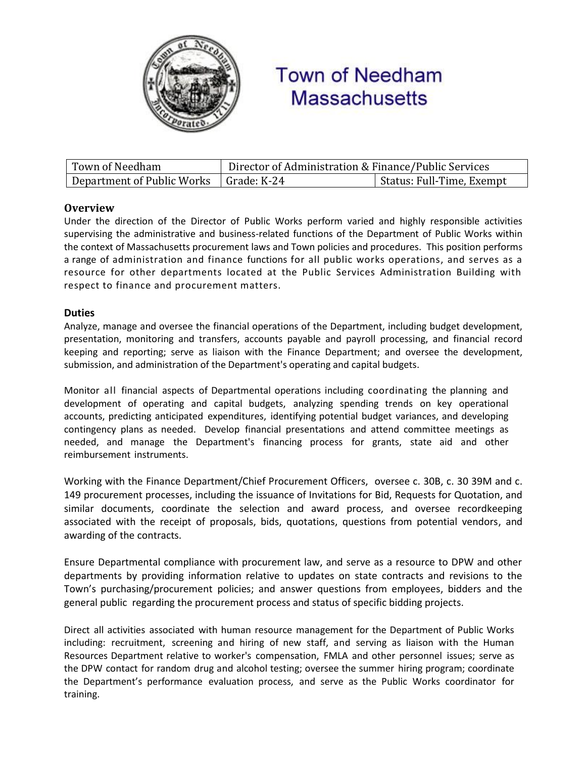

# **Town of Needham Massachusetts**

| Town of Needham                          | Director of Administration & Finance/Public Services |                           |
|------------------------------------------|------------------------------------------------------|---------------------------|
| Department of Public Works   Grade: K-24 |                                                      | Status: Full-Time, Exempt |

# **Overview**

Under the direction of the Director of Public Works perform varied and highly responsible activities supervising the administrative and business-related functions of the Department of Public Works within the context of Massachusetts procurement laws and Town policies and procedures. This position performs a range of administration and finance functions for all public works operations, and serves as a resource for other departments located at the Public Services Administration Building with respect to finance and procurement matters.

# **Duties**

Analyze, manage and oversee the financial operations of the Department, including budget development, presentation, monitoring and transfers, accounts payable and payroll processing, and financial record keeping and reporting; serve as liaison with the Finance Department; and oversee the development, submission, and administration of the Department's operating and capital budgets.

Monitor all financial aspects of Departmental operations including coordinating the planning and development of operating and capital budgets, analyzing spending trends on key operational accounts, predicting anticipated expenditures, identifying potential budget variances, and developing contingency plans as needed. Develop financial presentations and attend committee meetings as needed, and manage the Department's financing process for grants, state aid and other reimbursement instruments.

Working with the Finance Department/Chief Procurement Officers, oversee c. 30B, c. 30 39M and c. 149 procurement processes, including the issuance of Invitations for Bid, Requests for Quotation, and similar documents, coordinate the selection and award process, and oversee recordkeeping associated with the receipt of proposals, bids, quotations, questions from potential vendors, and awarding of the contracts.

Ensure Departmental compliance with procurement law, and serve as a resource to DPW and other departments by providing information relative to updates on state contracts and revisions to the Town's purchasing/procurement policies; and answer questions from employees, bidders and the general public regarding the procurement process and status of specific bidding projects.

Direct all activities associated with human resource management for the Department of Public Works including: recruitment, screening and hiring of new staff, and serving as liaison with the Human Resources Department relative to worker's compensation, FMLA and other personnel issues; serve as the DPW contact for random drug and alcohol testing; oversee the summer hiring program; coordinate the Department's performance evaluation process, and serve as the Public Works coordinator for training.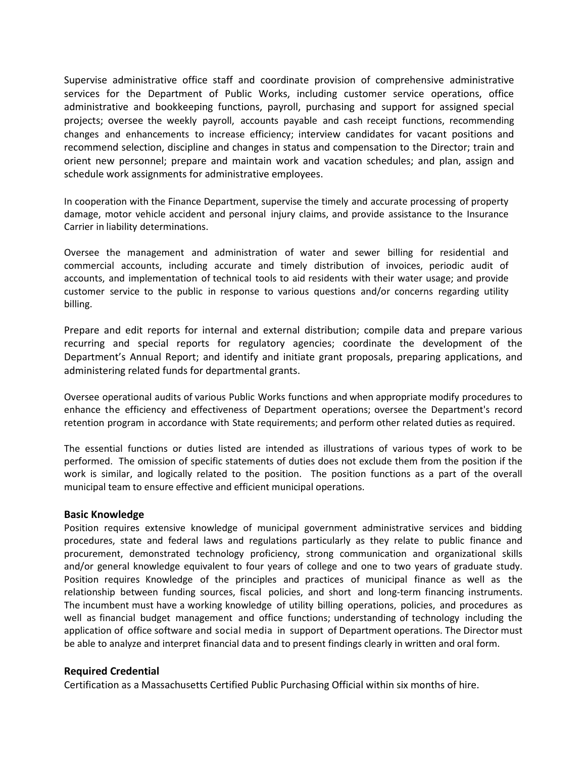Supervise administrative office staff and coordinate provision of comprehensive administrative services for the Department of Public Works, including customer service operations, office administrative and bookkeeping functions, payroll, purchasing and support for assigned special projects; oversee the weekly payroll, accounts payable and cash receipt functions, recommending changes and enhancements to increase efficiency; interview candidates for vacant positions and recommend selection, discipline and changes in status and compensation to the Director; train and orient new personnel; prepare and maintain work and vacation schedules; and plan, assign and schedule work assignments for administrative employees.

In cooperation with the Finance Department, supervise the timely and accurate processing of property damage, motor vehicle accident and personal injury claims, and provide assistance to the Insurance Carrier in liability determinations.

Oversee the management and administration of water and sewer billing for residential and commercial accounts, including accurate and timely distribution of invoices, periodic audit of accounts, and implementation of technical tools to aid residents with their water usage; and provide customer service to the public in response to various questions and/or concerns regarding utility billing.

Prepare and edit reports for internal and external distribution; compile data and prepare various recurring and special reports for regulatory agencies; coordinate the development of the Department's Annual Report; and identify and initiate grant proposals, preparing applications, and administering related funds for departmental grants.

Oversee operational audits of various Public Works functions and when appropriate modify procedures to enhance the efficiency and effectiveness of Department operations; oversee the Department's record retention program in accordance with State requirements; and perform other related duties as required.

The essential functions or duties listed are intended as illustrations of various types of work to be performed. The omission of specific statements of duties does not exclude them from the position if the work is similar, and logically related to the position. The position functions as a part of the overall municipal team to ensure effective and efficient municipal operations.

#### **Basic Knowledge**

Position requires extensive knowledge of municipal government administrative services and bidding procedures, state and federal laws and regulations particularly as they relate to public finance and procurement, demonstrated technology proficiency, strong communication and organizational skills and/or general knowledge equivalent to four years of college and one to two years of graduate study. Position requires Knowledge of the principles and practices of municipal finance as well as the relationship between funding sources, fiscal policies, and short and long-term financing instruments. The incumbent must have a working knowledge of utility billing operations, policies, and procedures as well as financial budget management and office functions; understanding of technology including the application of office software and social media in support of Department operations. The Director must be able to analyze and interpret financial data and to present findings clearly in written and oral form.

#### **Required Credential**

Certification as a Massachusetts Certified Public Purchasing Official within six months of hire.